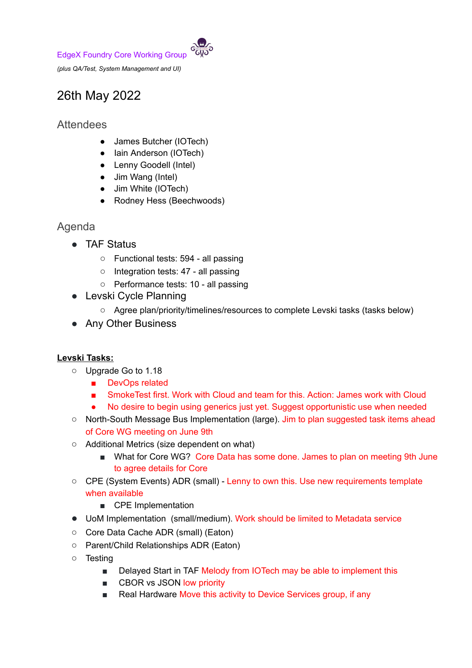

# 26th May 2022

# **Attendees**

- James Butcher (IOTech)
- Iain Anderson (IOTech)
- Lenny Goodell (Intel)
- Jim Wang (Intel)
- Jim White (IOTech)
- Rodney Hess (Beechwoods)

### Agenda

- TAF Status
	- Functional tests: 594 all passing
	- Integration tests: 47 all passing
	- Performance tests: 10 all passing
- Levski Cycle Planning
	- Agree plan/priority/timelines/resources to complete Levski tasks (tasks below)
- Any Other Business

#### **Levski Tasks:**

- Upgrade Go to 1.18
	- DevOps related
	- SmokeTest first. Work with Cloud and team for this. Action: James work with Cloud
	- No desire to begin using generics just yet. Suggest opportunistic use when needed
- North-South Message Bus Implementation (large). Jim to plan suggested task items ahead of Core WG meeting on June 9th
- Additional Metrics (size dependent on what)
	- What for Core WG? Core Data has some done. James to plan on meeting 9th June to agree details for Core
- CPE (System Events) ADR (small) Lenny to own this. Use new requirements template when available
	- CPE Implementation
- UoM Implementation (small/medium). Work should be limited to Metadata service
- Core Data Cache ADR (small) (Eaton)
- Parent/Child Relationships ADR (Eaton)
- Testing
	- Delayed Start in TAF Melody from IOTech may be able to implement this
	- CBOR vs JSON low priority
	- Real Hardware Move this activity to Device Services group, if any